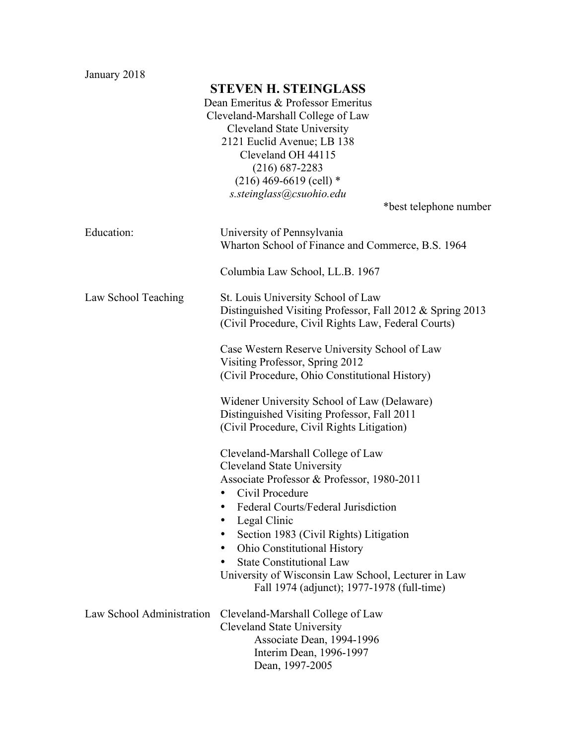January 2018

## **STEVEN H. STEINGLASS**

Dean Emeritus & Professor Emeritus Cleveland-Marshall College of Law Cleveland State University 2121 Euclid Avenue; LB 138 Cleveland OH 44115 (216) 687-2283  $(216)$  469-6619 (cell) \* *s.steinglass@csuohio.edu*

\*best telephone number

| Education:                | University of Pennsylvania<br>Wharton School of Finance and Commerce, B.S. 1964<br>Columbia Law School, LL.B. 1967                                                                                                                                                                                                                                                                                                                                                      |
|---------------------------|-------------------------------------------------------------------------------------------------------------------------------------------------------------------------------------------------------------------------------------------------------------------------------------------------------------------------------------------------------------------------------------------------------------------------------------------------------------------------|
| Law School Teaching       | St. Louis University School of Law<br>Distinguished Visiting Professor, Fall 2012 & Spring 2013<br>(Civil Procedure, Civil Rights Law, Federal Courts)                                                                                                                                                                                                                                                                                                                  |
|                           | Case Western Reserve University School of Law<br>Visiting Professor, Spring 2012<br>(Civil Procedure, Ohio Constitutional History)                                                                                                                                                                                                                                                                                                                                      |
|                           | Widener University School of Law (Delaware)<br>Distinguished Visiting Professor, Fall 2011<br>(Civil Procedure, Civil Rights Litigation)                                                                                                                                                                                                                                                                                                                                |
|                           | Cleveland-Marshall College of Law<br><b>Cleveland State University</b><br>Associate Professor & Professor, 1980-2011<br>Civil Procedure<br>٠<br>Federal Courts/Federal Jurisdiction<br>$\bullet$<br>Legal Clinic<br>$\bullet$<br>Section 1983 (Civil Rights) Litigation<br>٠<br><b>Ohio Constitutional History</b><br>$\bullet$<br><b>State Constitutional Law</b><br>University of Wisconsin Law School, Lecturer in Law<br>Fall 1974 (adjunct); 1977-1978 (full-time) |
| Law School Administration | Cleveland-Marshall College of Law<br>Cleveland State University<br>Associate Dean, 1994-1996<br>Interim Dean, 1996-1997<br>Dean, 1997-2005                                                                                                                                                                                                                                                                                                                              |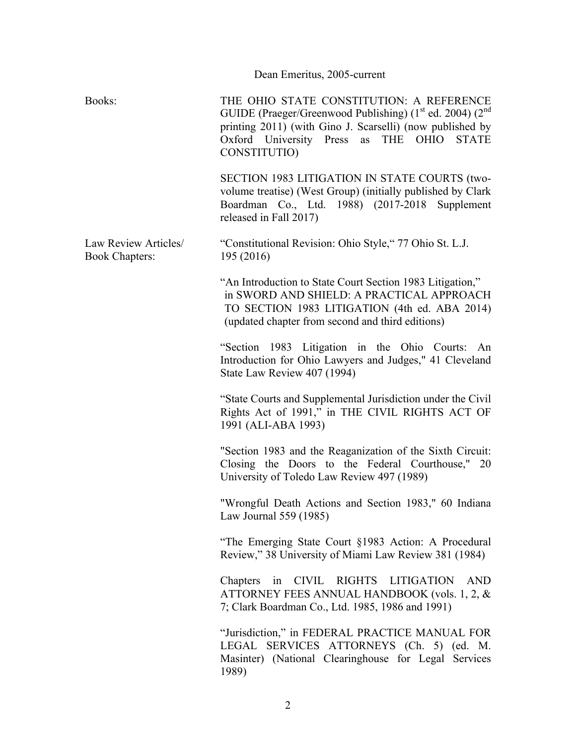| Dean Emeritus, 2005-current                  |                                                                                                                                                                                                                                                                  |
|----------------------------------------------|------------------------------------------------------------------------------------------------------------------------------------------------------------------------------------------------------------------------------------------------------------------|
| Books:                                       | THE OHIO STATE CONSTITUTION: A REFERENCE<br>GUIDE (Praeger/Greenwood Publishing) (1 <sup>st</sup> ed. 2004) (2 <sup>nd</sup><br>printing 2011) (with Gino J. Scarselli) (now published by<br>Oxford University Press as THE OHIO<br><b>STATE</b><br>CONSTITUTIO) |
|                                              | SECTION 1983 LITIGATION IN STATE COURTS (two-<br>volume treatise) (West Group) (initially published by Clark<br>Boardman Co., Ltd. 1988) (2017-2018 Supplement<br>released in Fall 2017)                                                                         |
| Law Review Articles<br><b>Book Chapters:</b> | "Constitutional Revision: Ohio Style," 77 Ohio St. L.J.<br>195 (2016)                                                                                                                                                                                            |
|                                              | "An Introduction to State Court Section 1983 Litigation,"<br>in SWORD AND SHIELD: A PRACTICAL APPROACH<br>TO SECTION 1983 LITIGATION (4th ed. ABA 2014)<br>(updated chapter from second and third editions)                                                      |
|                                              | "Section 1983 Litigation in the Ohio Courts: An<br>Introduction for Ohio Lawyers and Judges," 41 Cleveland<br>State Law Review 407 (1994)                                                                                                                        |
|                                              | "State Courts and Supplemental Jurisdiction under the Civil"<br>Rights Act of 1991," in THE CIVIL RIGHTS ACT OF<br>1991 (ALI-ABA 1993)                                                                                                                           |
|                                              | "Section 1983 and the Reaganization of the Sixth Circuit:<br>Closing the Doors to the Federal Courthouse," 20<br>University of Toledo Law Review 497 (1989)                                                                                                      |
|                                              | "Wrongful Death Actions and Section 1983," 60 Indiana<br>Law Journal 559 (1985)                                                                                                                                                                                  |
|                                              | "The Emerging State Court §1983 Action: A Procedural<br>Review," 38 University of Miami Law Review 381 (1984)                                                                                                                                                    |
|                                              | CIVIL RIGHTS LITIGATION<br><b>AND</b><br>Chapters<br>in<br>ATTORNEY FEES ANNUAL HANDBOOK (vols. 1, 2, &<br>7; Clark Boardman Co., Ltd. 1985, 1986 and 1991)                                                                                                      |
|                                              | "Jurisdiction," in FEDERAL PRACTICE MANUAL FOR<br>LEGAL SERVICES ATTORNEYS (Ch. 5) (ed. M.<br>Masinter) (National Clearinghouse for Legal Services<br>1989)                                                                                                      |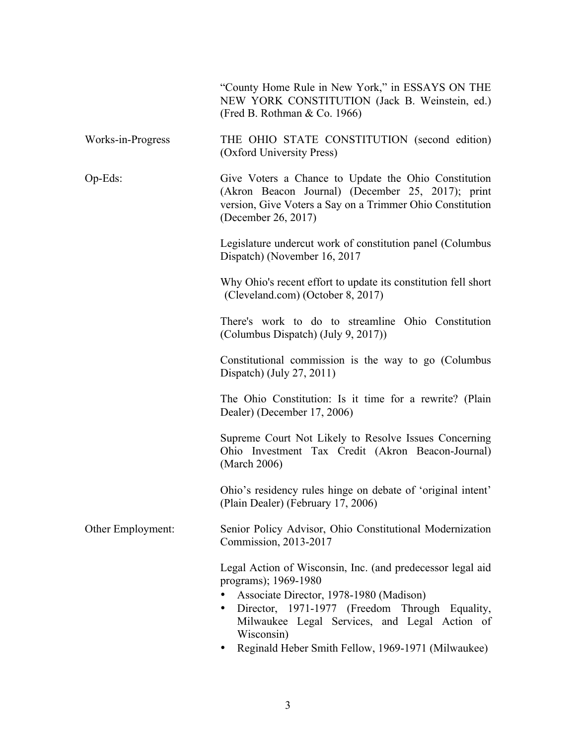|                   | "County Home Rule in New York," in ESSAYS ON THE<br>NEW YORK CONSTITUTION (Jack B. Weinstein, ed.)<br>(Fred B. Rothman & Co. 1966)                                                                                                                          |
|-------------------|-------------------------------------------------------------------------------------------------------------------------------------------------------------------------------------------------------------------------------------------------------------|
| Works-in-Progress | THE OHIO STATE CONSTITUTION (second edition)<br>(Oxford University Press)                                                                                                                                                                                   |
| $Op-Eds$ :        | Give Voters a Chance to Update the Ohio Constitution<br>(Akron Beacon Journal) (December 25, 2017); print<br>version, Give Voters a Say on a Trimmer Ohio Constitution<br>(December 26, 2017)                                                               |
|                   | Legislature undercut work of constitution panel (Columbus<br>Dispatch) (November 16, 2017                                                                                                                                                                   |
|                   | Why Ohio's recent effort to update its constitution fell short<br>(Cleveland.com) (October 8, 2017)                                                                                                                                                         |
|                   | There's work to do to streamline Ohio Constitution<br>(Columbus Dispatch) (July 9, 2017))                                                                                                                                                                   |
|                   | Constitutional commission is the way to go (Columbus<br>Dispatch) (July 27, 2011)                                                                                                                                                                           |
|                   | The Ohio Constitution: Is it time for a rewrite? (Plain<br>Dealer) (December 17, 2006)                                                                                                                                                                      |
|                   | Supreme Court Not Likely to Resolve Issues Concerning<br>Ohio Investment Tax Credit (Akron Beacon-Journal)<br>(March 2006)                                                                                                                                  |
|                   | Ohio's residency rules hinge on debate of 'original intent'<br>(Plain Dealer) (February 17, 2006)                                                                                                                                                           |
| Other Employment: | Senior Policy Advisor, Ohio Constitutional Modernization<br>Commission, 2013-2017                                                                                                                                                                           |
|                   | Legal Action of Wisconsin, Inc. (and predecessor legal aid<br>programs); 1969-1980<br>Associate Director, 1978-1980 (Madison)<br>Director, 1971-1977 (Freedom Through Equality,<br>$\bullet$<br>Milwaukee Legal Services, and Legal Action of<br>Wisconsin) |

• Reginald Heber Smith Fellow, 1969-1971 (Milwaukee)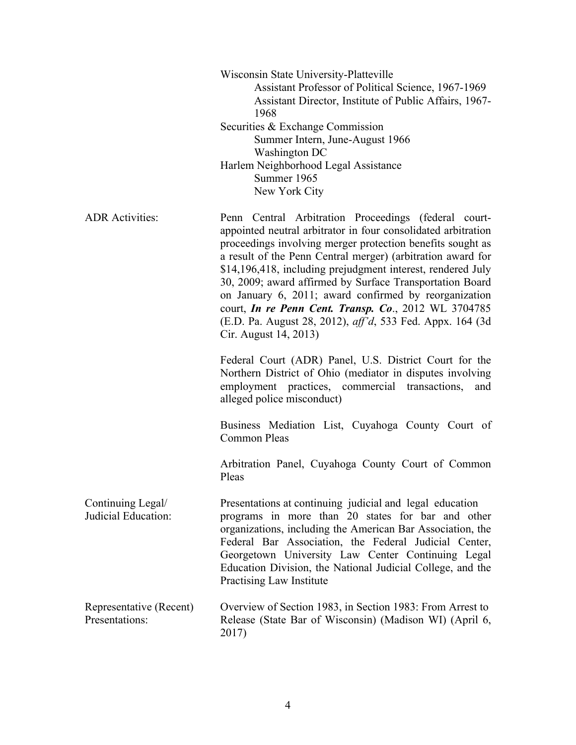|                                           | Wisconsin State University-Platteville<br>Assistant Professor of Political Science, 1967-1969<br>Assistant Director, Institute of Public Affairs, 1967-<br>1968<br>Securities & Exchange Commission<br>Summer Intern, June-August 1966<br>Washington DC<br>Harlem Neighborhood Legal Assistance<br>Summer 1965<br>New York City                                                                                                                                                                                                                                                              |
|-------------------------------------------|----------------------------------------------------------------------------------------------------------------------------------------------------------------------------------------------------------------------------------------------------------------------------------------------------------------------------------------------------------------------------------------------------------------------------------------------------------------------------------------------------------------------------------------------------------------------------------------------|
| <b>ADR</b> Activities:                    | Penn Central Arbitration Proceedings (federal court-<br>appointed neutral arbitrator in four consolidated arbitration<br>proceedings involving merger protection benefits sought as<br>a result of the Penn Central merger) (arbitration award for<br>\$14,196,418, including prejudgment interest, rendered July<br>30, 2009; award affirmed by Surface Transportation Board<br>on January 6, 2011; award confirmed by reorganization<br>court, <i>In re Penn Cent. Transp. Co.</i> , 2012 WL 3704785<br>(E.D. Pa. August 28, 2012), aff'd, 533 Fed. Appx. 164 (3d<br>Cir. August 14, 2013) |
|                                           | Federal Court (ADR) Panel, U.S. District Court for the<br>Northern District of Ohio (mediator in disputes involving<br>employment practices, commercial transactions,<br>and<br>alleged police misconduct)                                                                                                                                                                                                                                                                                                                                                                                   |
|                                           | Business Mediation List, Cuyahoga County Court of<br><b>Common Pleas</b>                                                                                                                                                                                                                                                                                                                                                                                                                                                                                                                     |
|                                           | Arbitration Panel, Cuyahoga County Court of Common<br>Pleas                                                                                                                                                                                                                                                                                                                                                                                                                                                                                                                                  |
| Continuing Legal/<br>Judicial Education:  | Presentations at continuing judicial and legal education<br>programs in more than 20 states for bar and other<br>organizations, including the American Bar Association, the<br>Federal Bar Association, the Federal Judicial Center,<br>Georgetown University Law Center Continuing Legal<br>Education Division, the National Judicial College, and the<br>Practising Law Institute                                                                                                                                                                                                          |
| Representative (Recent)<br>Presentations: | Overview of Section 1983, in Section 1983: From Arrest to<br>Release (State Bar of Wisconsin) (Madison WI) (April 6,<br>2017)                                                                                                                                                                                                                                                                                                                                                                                                                                                                |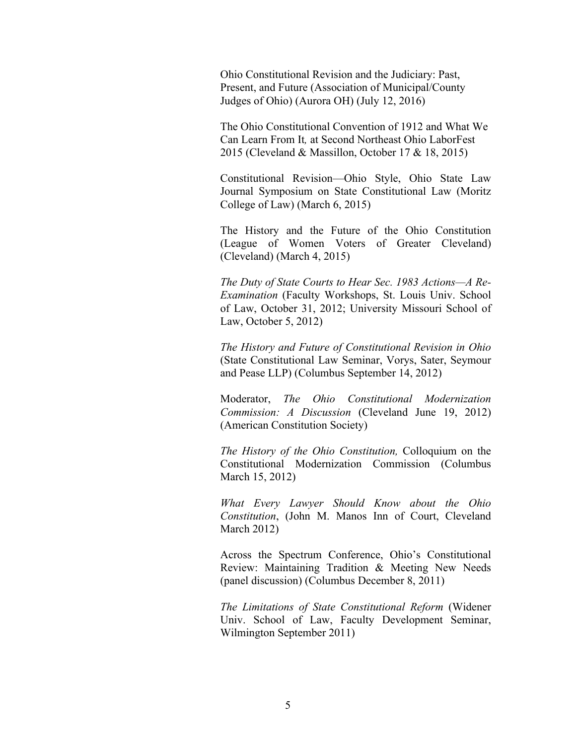Ohio Constitutional Revision and the Judiciary: Past, Present, and Future (Association of Municipal/County Judges of Ohio) (Aurora OH) (July 12, 2016)

The Ohio Constitutional Convention of 1912 and What We Can Learn From It*,* at Second Northeast Ohio LaborFest 2015 (Cleveland & Massillon, October 17 & 18, 2015)

Constitutional Revision—Ohio Style, Ohio State Law Journal Symposium on State Constitutional Law (Moritz College of Law) (March 6, 2015)

The History and the Future of the Ohio Constitution (League of Women Voters of Greater Cleveland) (Cleveland) (March 4, 2015)

*The Duty of State Courts to Hear Sec. 1983 Actions—A Re-Examination* (Faculty Workshops, St. Louis Univ. School of Law, October 31, 2012; University Missouri School of Law, October 5, 2012)

*The History and Future of Constitutional Revision in Ohio* (State Constitutional Law Seminar, Vorys, Sater, Seymour and Pease LLP) (Columbus September 14, 2012)

Moderator, *The Ohio Constitutional Modernization Commission: A Discussion* (Cleveland June 19, 2012) (American Constitution Society)

*The History of the Ohio Constitution,* Colloquium on the Constitutional Modernization Commission (Columbus March 15, 2012)

*What Every Lawyer Should Know about the Ohio Constitution*, (John M. Manos Inn of Court, Cleveland March 2012)

Across the Spectrum Conference, Ohio's Constitutional Review: Maintaining Tradition & Meeting New Needs (panel discussion) (Columbus December 8, 2011)

*The Limitations of State Constitutional Reform* (Widener Univ. School of Law, Faculty Development Seminar, Wilmington September 2011)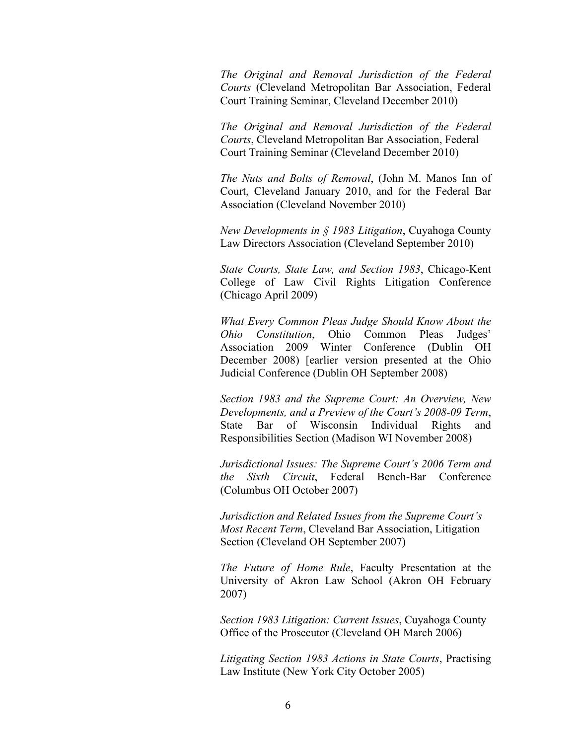*The Original and Removal Jurisdiction of the Federal Courts* (Cleveland Metropolitan Bar Association, Federal Court Training Seminar, Cleveland December 2010)

*The Original and Removal Jurisdiction of the Federal Courts*, Cleveland Metropolitan Bar Association, Federal Court Training Seminar (Cleveland December 2010)

*The Nuts and Bolts of Removal*, (John M. Manos Inn of Court, Cleveland January 2010, and for the Federal Bar Association (Cleveland November 2010)

*New Developments in § 1983 Litigation*, Cuyahoga County Law Directors Association (Cleveland September 2010)

*State Courts, State Law, and Section 1983*, Chicago-Kent College of Law Civil Rights Litigation Conference (Chicago April 2009)

*What Every Common Pleas Judge Should Know About the Ohio Constitution*, Ohio Common Pleas Judges' Association 2009 Winter Conference (Dublin OH December 2008) [earlier version presented at the Ohio Judicial Conference (Dublin OH September 2008)

*Section 1983 and the Supreme Court: An Overview, New Developments, and a Preview of the Court's 2008-09 Term*, State Bar of Wisconsin Individual Rights and Responsibilities Section (Madison WI November 2008)

*Jurisdictional Issues: The Supreme Court's 2006 Term and the Sixth Circuit*, Federal Bench-Bar Conference (Columbus OH October 2007)

*Jurisdiction and Related Issues from the Supreme Court's Most Recent Term*, Cleveland Bar Association, Litigation Section (Cleveland OH September 2007)

*The Future of Home Rule*, Faculty Presentation at the University of Akron Law School (Akron OH February 2007)

*Section 1983 Litigation: Current Issues*, Cuyahoga County Office of the Prosecutor (Cleveland OH March 2006)

*Litigating Section 1983 Actions in State Courts*, Practising Law Institute (New York City October 2005)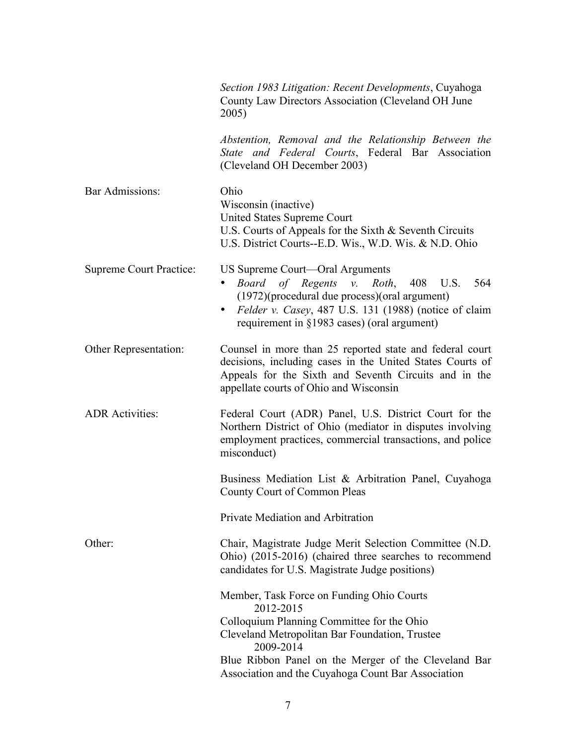|                         | Section 1983 Litigation: Recent Developments, Cuyahoga<br>County Law Directors Association (Cleveland OH June<br>2005)                                                                                                                           |
|-------------------------|--------------------------------------------------------------------------------------------------------------------------------------------------------------------------------------------------------------------------------------------------|
|                         | Abstention, Removal and the Relationship Between the<br>State and Federal Courts, Federal Bar Association<br>(Cleveland OH December 2003)                                                                                                        |
| <b>Bar Admissions:</b>  | Ohio<br>Wisconsin (inactive)<br><b>United States Supreme Court</b><br>U.S. Courts of Appeals for the Sixth $&$ Seventh Circuits<br>U.S. District Courts--E.D. Wis., W.D. Wis. & N.D. Ohio                                                        |
| Supreme Court Practice: | US Supreme Court—Oral Arguments<br>Board of Regents v. Roth,<br>408<br>U.S.<br>564<br>(1972)(procedural due process)(oral argument)<br>Felder v. Casey, 487 U.S. 131 (1988) (notice of claim<br>٠<br>requirement in §1983 cases) (oral argument) |
| Other Representation:   | Counsel in more than 25 reported state and federal court<br>decisions, including cases in the United States Courts of<br>Appeals for the Sixth and Seventh Circuits and in the<br>appellate courts of Ohio and Wisconsin                         |
| <b>ADR</b> Activities:  | Federal Court (ADR) Panel, U.S. District Court for the<br>Northern District of Ohio (mediator in disputes involving<br>employment practices, commercial transactions, and police<br>misconduct)                                                  |
|                         | Business Mediation List & Arbitration Panel, Cuyahoga<br>County Court of Common Pleas                                                                                                                                                            |
|                         | Private Mediation and Arbitration                                                                                                                                                                                                                |
| Other:                  | Chair, Magistrate Judge Merit Selection Committee (N.D.<br>Ohio) (2015-2016) (chaired three searches to recommend<br>candidates for U.S. Magistrate Judge positions)                                                                             |
|                         | Member, Task Force on Funding Ohio Courts<br>2012-2015                                                                                                                                                                                           |
|                         | Colloquium Planning Committee for the Ohio                                                                                                                                                                                                       |
|                         | Cleveland Metropolitan Bar Foundation, Trustee<br>2009-2014                                                                                                                                                                                      |
|                         | Blue Ribbon Panel on the Merger of the Cleveland Bar<br>Association and the Cuyahoga Count Bar Association                                                                                                                                       |